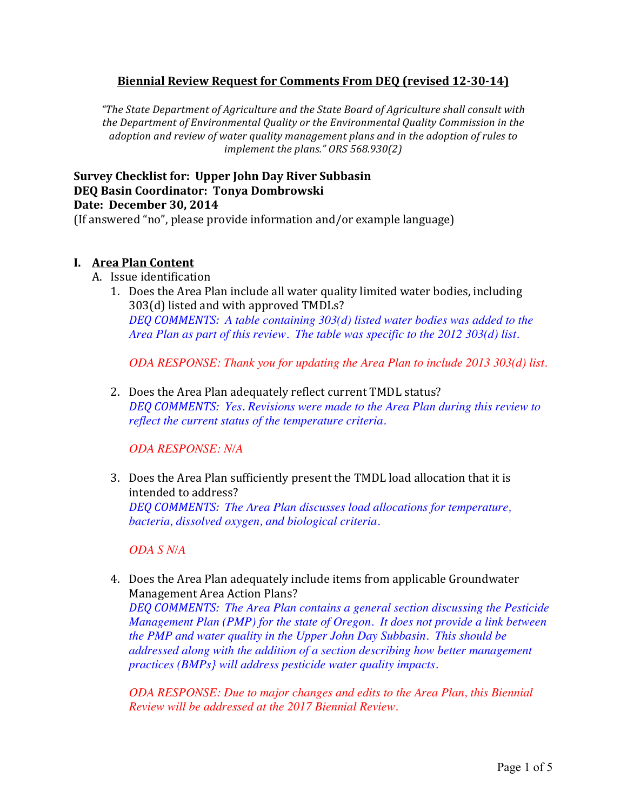### **Biennial Review Request for Comments From DEQ (revised 12-30-14)**

*"The State Department of Agriculture and the State Board of Agriculture shall consult with* the Department of Environmental Quality or the Environmental Quality Commission in the *adoption and review of water quality management plans and in the adoption of rules to implement the plans." ORS* 568.930(2)

# **Survey Checklist for: Upper John Day River Subbasin DEQ Basin Coordinator: Tonya Dombrowski Date: December 30, 2014**

(If answered "no", please provide information and/or example language)

#### **I. Area Plan Content**

- A. Issue identification
	- 1. Does the Area Plan include all water quality limited water bodies, including 303(d) listed and with approved TMDLs? *DEQ COMMENTS: A table containing 303(d) listed water bodies was added to the Area Plan as part of this review. The table was specific to the 2012 303(d) list.*

*ODA RESPONSE: Thank you for updating the Area Plan to include 2013 303(d) list.*

2. Does the Area Plan adequately reflect current TMDL status? *DEQ COMMENTS: Yes. Revisions were made to the Area Plan during this review to reflect the current status of the temperature criteria.*

*ODA RESPONSE: N/A*

3. Does the Area Plan sufficiently present the TMDL load allocation that it is intended to address? *DEQ COMMENTS: The Area Plan discusses load allocations for temperature, bacteria, dissolved oxygen, and biological criteria.*

*ODA S N/A*

4. Does the Area Plan adequately include items from applicable Groundwater Management Area Action Plans?

*DEQ COMMENTS: The Area Plan contains a general section discussing the Pesticide Management Plan (PMP) for the state of Oregon. It does not provide a link between the PMP and water quality in the Upper John Day Subbasin. This should be addressed along with the addition of a section describing how better management practices (BMPs} will address pesticide water quality impacts.*

*ODA RESPONSE: Due to major changes and edits to the Area Plan, this Biennial Review will be addressed at the 2017 Biennial Review.*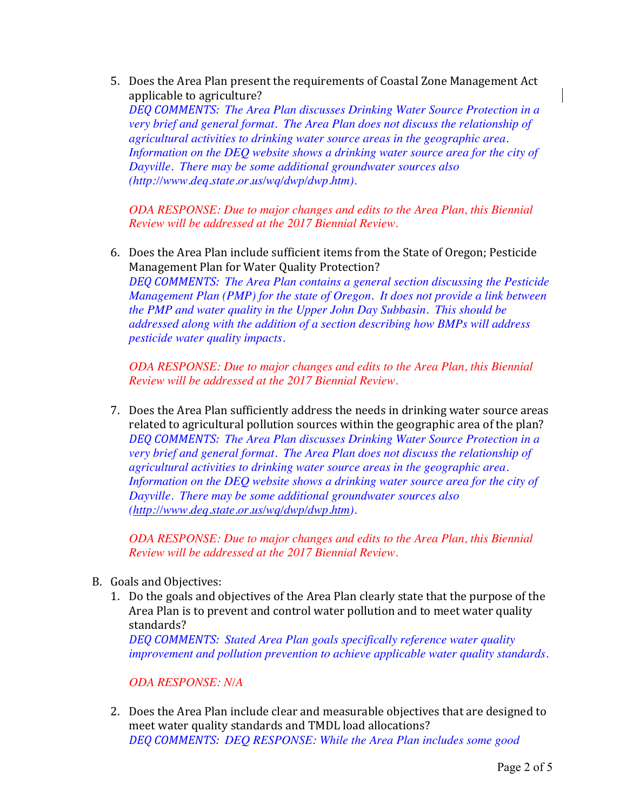5. Does the Area Plan present the requirements of Coastal Zone Management Act applicable to agriculture? *DEQ COMMENTS: The Area Plan discusses Drinking Water Source Protection in a very brief and general format. The Area Plan does not discuss the relationship of agricultural activities to drinking water source areas in the geographic area.*  Information on the DEQ website shows a drinking water source area for the city of *Dayville. There may be some additional groundwater sources also (http://www.deq.state.or.us/wq/dwp/dwp.htm).*

*ODA RESPONSE: Due to major changes and edits to the Area Plan, this Biennial Review will be addressed at the 2017 Biennial Review.*

6. Does the Area Plan include sufficient items from the State of Oregon; Pesticide Management Plan for Water Quality Protection? *DEQ COMMENTS: The Area Plan contains a general section discussing the Pesticide Management Plan (PMP) for the state of Oregon. It does not provide a link between the PMP and water quality in the Upper John Day Subbasin. This should be addressed along with the addition of a section describing how BMPs will address pesticide water quality impacts.*

*ODA RESPONSE: Due to major changes and edits to the Area Plan, this Biennial Review will be addressed at the 2017 Biennial Review.*

7. Does the Area Plan sufficiently address the needs in drinking water source areas related to agricultural pollution sources within the geographic area of the plan? *DEQ COMMENTS: The Area Plan discusses Drinking Water Source Protection in a very brief and general format. The Area Plan does not discuss the relationship of agricultural activities to drinking water source areas in the geographic area. Information on the DEQ website shows a drinking water source area for the city of Dayville. There may be some additional groundwater sources also (http://www.deq.state.or.us/wq/dwp/dwp.htm).*

*ODA RESPONSE: Due to major changes and edits to the Area Plan, this Biennial Review will be addressed at the 2017 Biennial Review.*

- B. Goals and Objectives:
	- 1. Do the goals and objectives of the Area Plan clearly state that the purpose of the Area Plan is to prevent and control water pollution and to meet water quality standards?

*DEQ COMMENTS: Stated Area Plan goals specifically reference water quality improvement and pollution prevention to achieve applicable water quality standards.*

*ODA RESPONSE: N/A*

2. Does the Area Plan include clear and measurable objectives that are designed to meet water quality standards and TMDL load allocations? *DEQ COMMENTS: DEQ RESPONSE: While the Area Plan includes some good*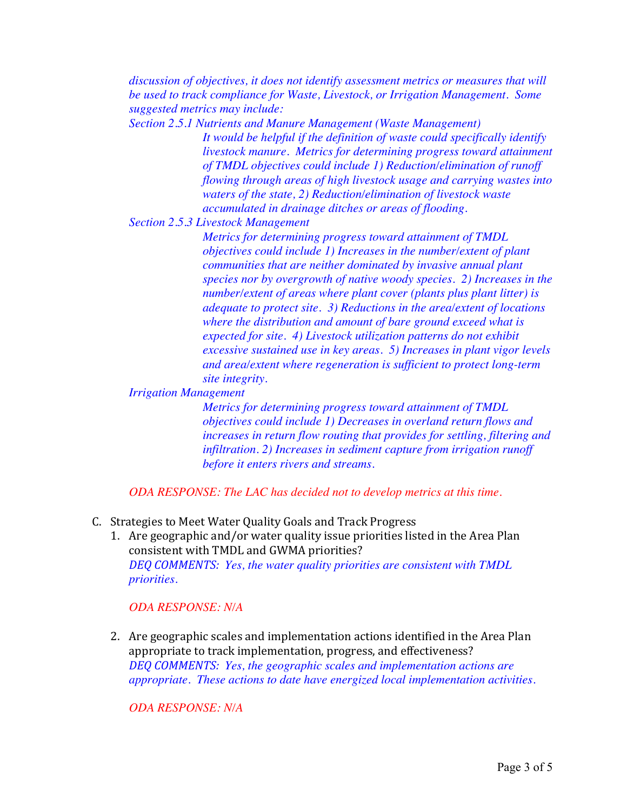*discussion of objectives, it does not identify assessment metrics or measures that will be used to track compliance for Waste, Livestock, or Irrigation Management. Some suggested metrics may include:*

*Section 2.5.1 Nutrients and Manure Management (Waste Management) It would be helpful if the definition of waste could specifically identify livestock manure. Metrics for determining progress toward attainment of TMDL objectives could include 1) Reduction/elimination of runoff flowing through areas of high livestock usage and carrying wastes into waters of the state, 2) Reduction/elimination of livestock waste accumulated in drainage ditches or areas of flooding.*

*Section 2.5.3 Livestock Management*

*Metrics for determining progress toward attainment of TMDL objectives could include 1) Increases in the number/extent of plant communities that are neither dominated by invasive annual plant species nor by overgrowth of native woody species. 2) Increases in the number/extent of areas where plant cover (plants plus plant litter) is adequate to protect site. 3) Reductions in the area/extent of locations where the distribution and amount of bare ground exceed what is expected for site. 4) Livestock utilization patterns do not exhibit excessive sustained use in key areas. 5) Increases in plant vigor levels and area/extent where regeneration is sufficient to protect long-term site integrity.*

*Irrigation Management*

*Metrics for determining progress toward attainment of TMDL objectives could include 1) Decreases in overland return flows and increases in return flow routing that provides for settling, filtering and infiltration. 2) Increases in sediment capture from irrigation runoff before it enters rivers and streams.*

*ODA RESPONSE: The LAC has decided not to develop metrics at this time.*

- C. Strategies to Meet Water Quality Goals and Track Progress
	- 1. Are geographic and/or water quality issue priorities listed in the Area Plan consistent with TMDL and GWMA priorities? *DEQ COMMENTS: Yes, the water quality priorities are consistent with TMDL priorities.*

*ODA RESPONSE: N/A*

2. Are geographic scales and implementation actions identified in the Area Plan appropriate to track implementation, progress, and effectiveness? *DEQ COMMENTS: Yes, the geographic scales and implementation actions are appropriate. These actions to date have energized local implementation activities.*

*ODA RESPONSE: N/A*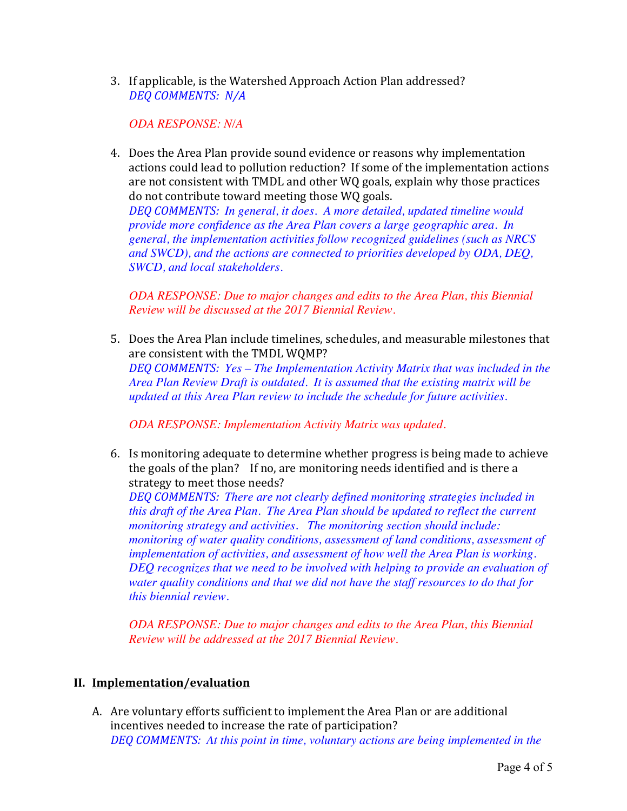3. If applicable, is the Watershed Approach Action Plan addressed? *DEQ COMMENTS: N/A*

# *ODA RESPONSE: N/A*

4. Does the Area Plan provide sound evidence or reasons why implementation actions could lead to pollution reduction? If some of the implementation actions are not consistent with TMDL and other WQ goals, explain why those practices do not contribute toward meeting those WQ goals.

*DEQ COMMENTS: In general, it does. A more detailed, updated timeline would provide more confidence as the Area Plan covers a large geographic area. In general, the implementation activities follow recognized guidelines (such as NRCS and SWCD), and the actions are connected to priorities developed by ODA, DEQ, SWCD, and local stakeholders.*

*ODA RESPONSE: Due to major changes and edits to the Area Plan, this Biennial Review will be discussed at the 2017 Biennial Review.*

5. Does the Area Plan include timelines, schedules, and measurable milestones that are consistent with the TMDL WQMP? *DEQ COMMENTS: Yes – The Implementation Activity Matrix that was included in the Area Plan Review Draft is outdated. It is assumed that the existing matrix will be updated at this Area Plan review to include the schedule for future activities.*

*ODA RESPONSE: Implementation Activity Matrix was updated.*

6. Is monitoring adequate to determine whether progress is being made to achieve the goals of the plan? If no, are monitoring needs identified and is there a strategy to meet those needs?

*DEQ COMMENTS: There are not clearly defined monitoring strategies included in this draft of the Area Plan. The Area Plan should be updated to reflect the current monitoring strategy and activities. The monitoring section should include: monitoring of water quality conditions, assessment of land conditions, assessment of implementation of activities, and assessment of how well the Area Plan is working. DEQ recognizes that we need to be involved with helping to provide an evaluation of water quality conditions and that we did not have the staff resources to do that for this biennial review.*

*ODA RESPONSE: Due to major changes and edits to the Area Plan, this Biennial Review will be addressed at the 2017 Biennial Review.*

## **II. Implementation/evaluation**

A. Are voluntary efforts sufficient to implement the Area Plan or are additional incentives needed to increase the rate of participation? *DEQ COMMENTS: At this point in time, voluntary actions are being implemented in the*